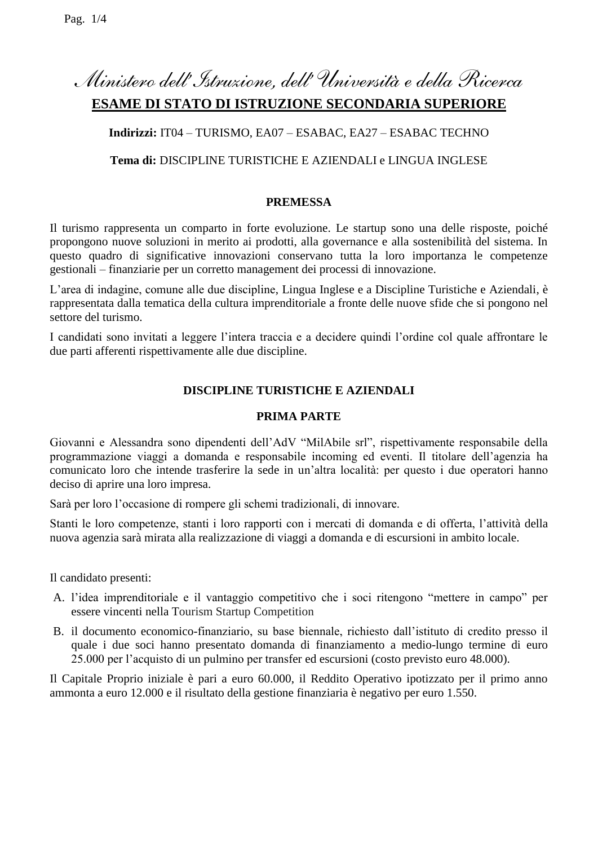# *Ministero dell'Istruzione, dell' Università e della Ricerca* **ESAME DI STATO DI ISTRUZIONE SECONDARIA SUPERIORE**

# **Indirizzi:** IT04 – TURISMO, EA07 – ESABAC, EA27 – ESABAC TECHNO

## **Tema di:** DISCIPLINE TURISTICHE E AZIENDALI e LINGUA INGLESE

## **PREMESSA**

Il turismo rappresenta un comparto in forte evoluzione. Le startup sono una delle risposte, poiché propongono nuove soluzioni in merito ai prodotti, alla governance e alla sostenibilità del sistema. In questo quadro di significative innovazioni conservano tutta la loro importanza le competenze gestionali – finanziarie per un corretto management dei processi di innovazione.

L'area di indagine, comune alle due discipline, Lingua Inglese e a Discipline Turistiche e Aziendali, è rappresentata dalla tematica della cultura imprenditoriale a fronte delle nuove sfide che si pongono nel settore del turismo.

I candidati sono invitati a leggere l'intera traccia e a decidere quindi l'ordine col quale affrontare le due parti afferenti rispettivamente alle due discipline.

## **DISCIPLINE TURISTICHE E AZIENDALI**

## **PRIMA PARTE**

Giovanni e Alessandra sono dipendenti dell'AdV "MilAbile srl", rispettivamente responsabile della programmazione viaggi a domanda e responsabile incoming ed eventi. Il titolare dell'agenzia ha comunicato loro che intende trasferire la sede in un'altra località: per questo i due operatori hanno deciso di aprire una loro impresa.

Sarà per loro l'occasione di rompere gli schemi tradizionali, di innovare.

Stanti le loro competenze, stanti i loro rapporti con i mercati di domanda e di offerta, l'attività della nuova agenzia sarà mirata alla realizzazione di viaggi a domanda e di escursioni in ambito locale.

Il candidato presenti:

- A. l'idea imprenditoriale e il vantaggio competitivo che i soci ritengono "mettere in campo" per essere vincenti nella Tourism Startup Competition
- B. il documento economico-finanziario, su base biennale, richiesto dall'istituto di credito presso il quale i due soci hanno presentato domanda di finanziamento a medio-lungo termine di euro 25.000 per l'acquisto di un pulmino per transfer ed escursioni (costo previsto euro 48.000).

Il Capitale Proprio iniziale è pari a euro 60.000, il Reddito Operativo ipotizzato per il primo anno ammonta a euro 12.000 e il risultato della gestione finanziaria è negativo per euro 1.550.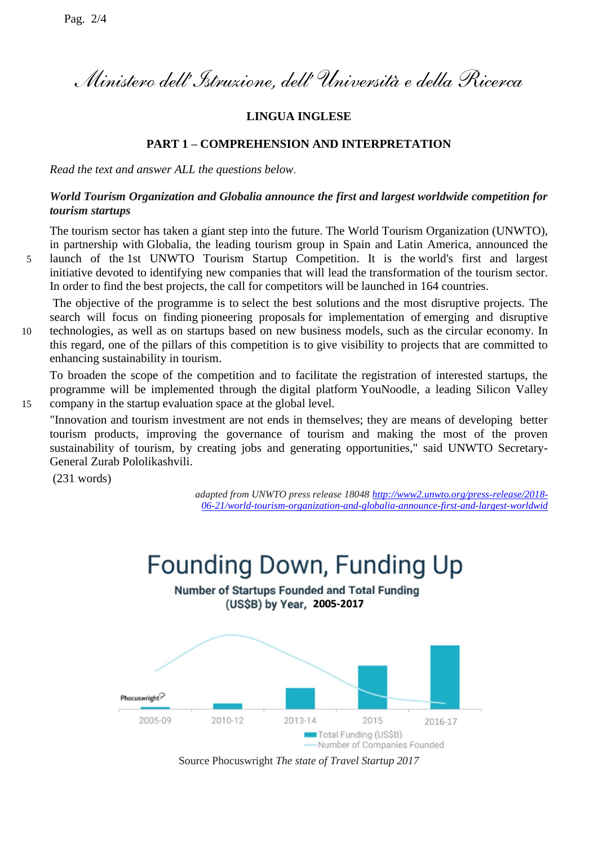*Ministero dell'Istruzione, dell' Università e della Ricerca*

## **LINGUA INGLESE**

#### **PART 1 – COMPREHENSION AND INTERPRETATION**

*Read the text and answer ALL the questions below*.

## *World Tourism Organization and Globalia announce the first and largest worldwide competition for tourism startups*

The tourism sector has taken a giant step into the future. The World Tourism Organization (UNWTO), in partnership with Globalia, the leading tourism group in Spain and Latin America, announced the 5 launch of the 1st UNWTO Tourism Startup Competition. It is the world's first and largest initiative devoted to identifying new companies that will lead the transformation of the tourism sector. In order to find the best projects, the call for competitors will be launched in 164 countries.

The objective of the programme is to select the best solutions and the most disruptive projects. The search will focus on finding pioneering proposals for implementation of emerging and disruptive 10 technologies, as well as on startups based on new business models, such as the circular economy. In

this regard, one of the pillars of this competition is to give visibility to projects that are committed to enhancing sustainability in tourism.

To broaden the scope of the competition and to facilitate the registration of interested startups, the programme will be implemented through the digital platform YouNoodle, a leading Silicon Valley 15 company in the startup evaluation space at the global level.

"Innovation and tourism investment are not ends in themselves; they are means of developing better tourism products, improving the governance of tourism and making the most of the proven sustainability of tourism, by creating jobs and generating opportunities," said UNWTO Secretary-General Zurab Pololikashvili.

(231 words)

*adapted from UNWTO press release 18048 [http://www2.unwto.org/press-release/2018-](http://www2.unwto.org/press-release/2018-06-21/world-tourism-organization-and-globalia-announce-first-and-largest-worldwid) [06-21/world-tourism-organization-and-globalia-announce-first-and-largest-worldwid](http://www2.unwto.org/press-release/2018-06-21/world-tourism-organization-and-globalia-announce-first-and-largest-worldwid)*



Source Phocuswright *The state of Travel Startup 2017*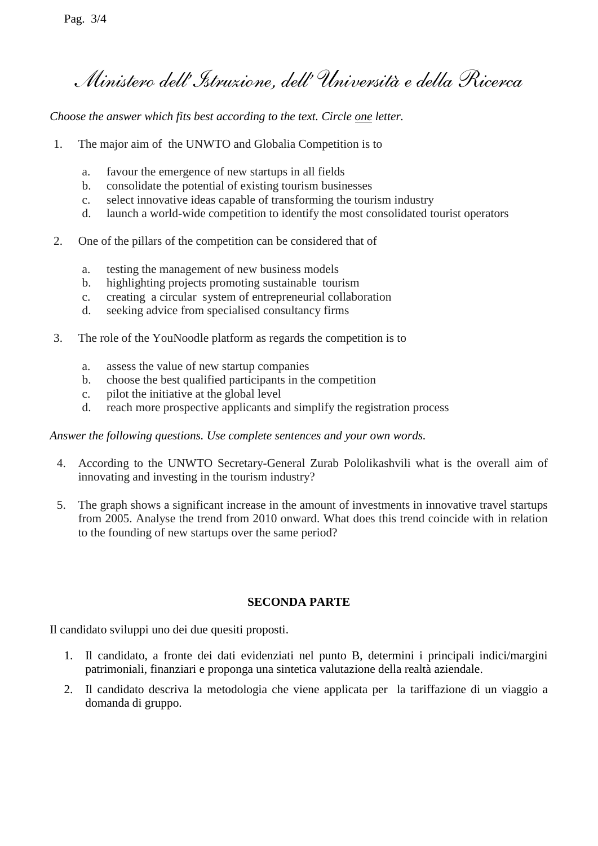*Ministero dell'Istruzione, dell' Università e della Ricerca*

*Choose the answer which fits best according to the text. Circle one letter.*

- 1. The major aim of the UNWTO and Globalia Competition is to
	- a. favour the emergence of new startups in all fields
	- b. consolidate the potential of existing tourism businesses
	- c. select innovative ideas capable of transforming the tourism industry
	- d. launch a world-wide competition to identify the most consolidated tourist operators
- 2. One of the pillars of the competition can be considered that of
	- a. testing the management of new business models
	- b. highlighting projects promoting sustainable tourism
	- c. creating a circular system of entrepreneurial collaboration
	- d. seeking advice from specialised consultancy firms
- 3. The role of the YouNoodle platform as regards the competition is to
	- a. assess the value of new startup companies
	- b. choose the best qualified participants in the competition
	- c. pilot the initiative at the global level
	- d. reach more prospective applicants and simplify the registration process

*Answer the following questions. Use complete sentences and your own words.*

- 4. According to the UNWTO Secretary-General Zurab Pololikashvili what is the overall aim of innovating and investing in the tourism industry?
- 5. The graph shows a significant increase in the amount of investments in innovative travel startups from 2005. Analyse the trend from 2010 onward. What does this trend coincide with in relation to the founding of new startups over the same period?

## **SECONDA PARTE**

Il candidato sviluppi uno dei due quesiti proposti.

- 1. Il candidato, a fronte dei dati evidenziati nel punto B, determini i principali indici/margini patrimoniali, finanziari e proponga una sintetica valutazione della realtà aziendale.
- 2. Il candidato descriva la metodologia che viene applicata per la tariffazione di un viaggio a domanda di gruppo.